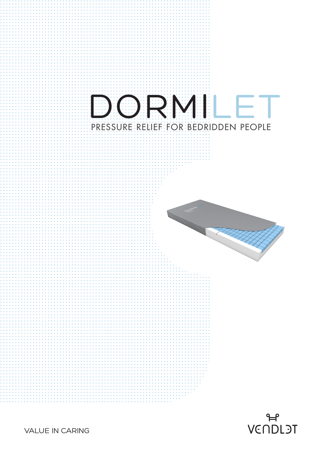



VALUE IN CARING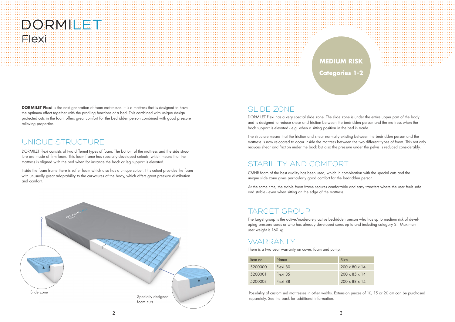

# UNIQUE STRUCTURE

**DORMILET Flexi** is the next generation of foam mattresses. It is a mattress that is designed to have the optimum effect together with the profiling functions of a bed. This combined with unique design protected cuts in the foam offers great comfort for the bedridden person combined with good pressure relieving properties.

DORMILET Flexi consists of two different types of foam. The bottom of the mattress and the side structure are made of firm foam. This foam frame has specially developed cutouts, which means that the mattress is aligned with the bed when for instance the back or leg support is elevated.

Inside the foam frame there is softer foam which also has a unique cutout. This cutout provides the foam with unusually great adaptability to the curvatures of the body, which offers great pressure distribution and comfort.



# SLIDE ZONE

## STABILITY AND COMFORT

CMHR foam of the best quality has been used, which in combination with the special cuts and the unique slide zone gives particularly good comfort for the bedridden person.

At the same time, the stable foam frame secures comfortable and easy transfers where the user feels safe and stable - even when sitting on the edge of the mattress.

Possibility of customised mattresses in other widths. Extension pieces of 10, 15 or 20 cm can be purchased separately. See the back for additional information.

DORMILET Flexi has a very special slide zone. The slide zone is under the entire upper part of the body and is designed to reduce shear and friction between the bedridden person and the mattress when the back support is elevated - e.g. when a sitting position in the bed is made.

The structure means that the friction and shear normally existing between the bedridden person and the mattress is now relocated to occur inside the mattress between the two different types of foam. This not only reduces shear and friction under the back but also the pressure under the pelvis is reduced considerably.

There is a two year warranty on cover, foam and pump.

# **DORMILET** Flexi

**MEDIUM RISK Categories 1-2**

### TARGET GROUP

The target group is the active/moderately active bedridden person who has up to medium risk of developing pressure sores or who has already developed sores up to and including category 2. Maximum user weight is 160 kg.

### **WARRANTY**

| Item no. | <b>Name</b> | Size                      |
|----------|-------------|---------------------------|
| 5200000  | Flexi 80    | $200 \times 80 \times 14$ |
| 5200001  | Flexi 8.5   | $200 \times 85 \times 14$ |
| 5200003  | Flexi 88    | $200 \times 88 \times 14$ |